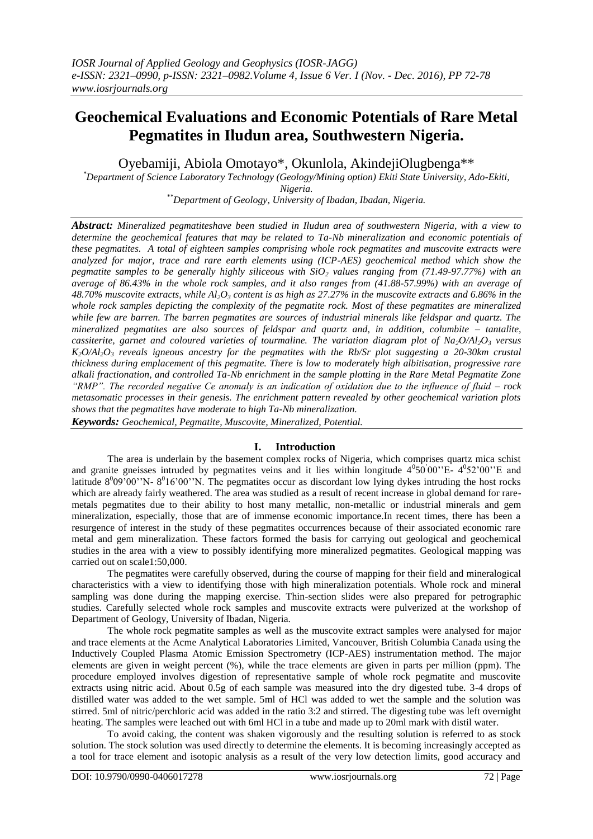# **Geochemical Evaluations and Economic Potentials of Rare Metal Pegmatites in Iludun area, Southwestern Nigeria.**

Oyebamiji, Abiola Omotayo\*, Okunlola, AkindejiOlugbenga\*\*

*\*Department of Science Laboratory Technology (Geology/Mining option) Ekiti State University, Ado-Ekiti, Nigeria.*

*\*\*Department of Geology, University of Ibadan, Ibadan, Nigeria.*

*Abstract: Mineralized pegmatiteshave been studied in Iludun area of southwestern Nigeria, with a view to determine the geochemical features that may be related to Ta-Nb mineralization and economic potentials of these pegmatites. A total of eighteen samples comprising whole rock pegmatites and muscovite extracts were analyzed for major, trace and rare earth elements using (ICP-AES) geochemical method which show the pegmatite samples to be generally highly siliceous with SiO<sup>2</sup> values ranging from (71.49-97.77%) with an average of 86.43% in the whole rock samples, and it also ranges from (41.88-57.99%) with an average of 48.70% muscovite extracts, while Al2O<sup>3</sup> content is as high as 27.27% in the muscovite extracts and 6.86% in the whole rock samples depicting the complexity of the pegmatite rock. Most of these pegmatites are mineralized while few are barren. The barren pegmatites are sources of industrial minerals like feldspar and quartz. The mineralized pegmatites are also sources of feldspar and quartz and, in addition, columbite – tantalite, cassiterite, garnet and coloured varieties of tourmaline. The variation diagram plot of Na2O/Al2O<sup>3</sup> versus K2O/Al2O<sup>3</sup> reveals igneous ancestry for the pegmatites with the Rb/Sr plot suggesting a 20-30km crustal thickness during emplacement of this pegmatite. There is low to moderately high albitisation, progressive rare alkali fractionation, and controlled Ta-Nb enrichment in the sample plotting in the Rare Metal Pegmatite Zone "RMP". The recorded negative Ce anomaly is an indication of oxidation due to the influence of fluid – rock metasomatic processes in their genesis. The enrichment pattern revealed by other geochemical variation plots shows that the pegmatites have moderate to high Ta-Nb mineralization. Keywords: Geochemical, Pegmatite, Muscovite, Mineralized, Potential.*

## **I. Introduction**

The area is underlain by the basement complex rocks of Nigeria, which comprises quartz mica schist and granite gneisses intruded by pegmatites veins and it lies within longitude  $4^050^000^{\prime\prime}$ E-  $4^052^{\prime\prime}00^{\prime\prime}$ E and latitude  $8^{0}09'00''$ N-  $8^{0}16'00''$ N. The pegmatites occur as discordant low lying dykes intruding the host rocks which are already fairly weathered. The area was studied as a result of recent increase in global demand for raremetals pegmatites due to their ability to host many metallic, non-metallic or industrial minerals and gem mineralization, especially, those that are of immense economic importance.In recent times, there has been a resurgence of interest in the study of these pegmatites occurrences because of their associated economic rare metal and gem mineralization. These factors formed the basis for carrying out geological and geochemical studies in the area with a view to possibly identifying more mineralized pegmatites. Geological mapping was carried out on scale1:50,000.

The pegmatites were carefully observed, during the course of mapping for their field and mineralogical characteristics with a view to identifying those with high mineralization potentials. Whole rock and mineral sampling was done during the mapping exercise. Thin-section slides were also prepared for petrographic studies. Carefully selected whole rock samples and muscovite extracts were pulverized at the workshop of Department of Geology, University of Ibadan, Nigeria.

The whole rock pegmatite samples as well as the muscovite extract samples were analysed for major and trace elements at the Acme Analytical Laboratories Limited, Vancouver, British Columbia Canada using the Inductively Coupled Plasma Atomic Emission Spectrometry (ICP-AES) instrumentation method. The major elements are given in weight percent (%), while the trace elements are given in parts per million (ppm). The procedure employed involves digestion of representative sample of whole rock pegmatite and muscovite extracts using nitric acid. About 0.5g of each sample was measured into the dry digested tube. 3-4 drops of distilled water was added to the wet sample. 5ml of HCl was added to wet the sample and the solution was stirred. 5ml of nitric/perchloric acid was added in the ratio 3:2 and stirred. The digesting tube was left overnight heating. The samples were leached out with 6ml HCl in a tube and made up to 20ml mark with distil water.

To avoid caking, the content was shaken vigorously and the resulting solution is referred to as stock solution. The stock solution was used directly to determine the elements. It is becoming increasingly accepted as a tool for trace element and isotopic analysis as a result of the very low detection limits, good accuracy and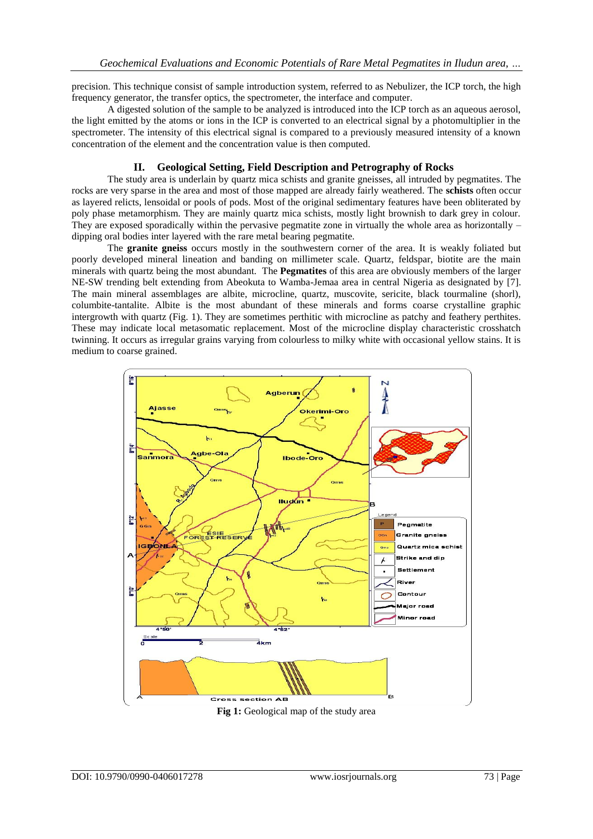precision. This technique consist of sample introduction system, referred to as Nebulizer, the ICP torch, the high frequency generator, the transfer optics, the spectrometer, the interface and computer.

A digested solution of the sample to be analyzed is introduced into the ICP torch as an aqueous aerosol, the light emitted by the atoms or ions in the ICP is converted to an electrical signal by a photomultiplier in the spectrometer. The intensity of this electrical signal is compared to a previously measured intensity of a known concentration of the element and the concentration value is then computed.

# **II. Geological Setting, Field Description and Petrography of Rocks**

The study area is underlain by quartz mica schists and granite gneisses, all intruded by pegmatites. The rocks are very sparse in the area and most of those mapped are already fairly weathered. The **schists** often occur as layered relicts, lensoidal or pools of pods. Most of the original sedimentary features have been obliterated by poly phase metamorphism. They are mainly quartz mica schists, mostly light brownish to dark grey in colour. They are exposed sporadically within the pervasive pegmatite zone in virtually the whole area as horizontally – dipping oral bodies inter layered with the rare metal bearing pegmatite.

The **granite gneiss** occurs mostly in the southwestern corner of the area. It is weakly foliated but poorly developed mineral lineation and banding on millimeter scale. Quartz, feldspar, biotite are the main minerals with quartz being the most abundant. The **Pegmatites** of this area are obviously members of the larger NE-SW trending belt extending from Abeokuta to Wamba-Jemaa area in central Nigeria as designated by [7]. The main mineral assemblages are albite, microcline, quartz, muscovite, sericite, black tourmaline (shorl), columbite-tantalite. Albite is the most abundant of these minerals and forms coarse crystalline graphic intergrowth with quartz (Fig. 1). They are sometimes perthitic with microcline as patchy and feathery perthites. These may indicate local metasomatic replacement. Most of the microcline display characteristic crosshatch twinning. It occurs as irregular grains varying from colourless to milky white with occasional yellow stains. It is medium to coarse grained.



**Fig 1:** Geological map of the study area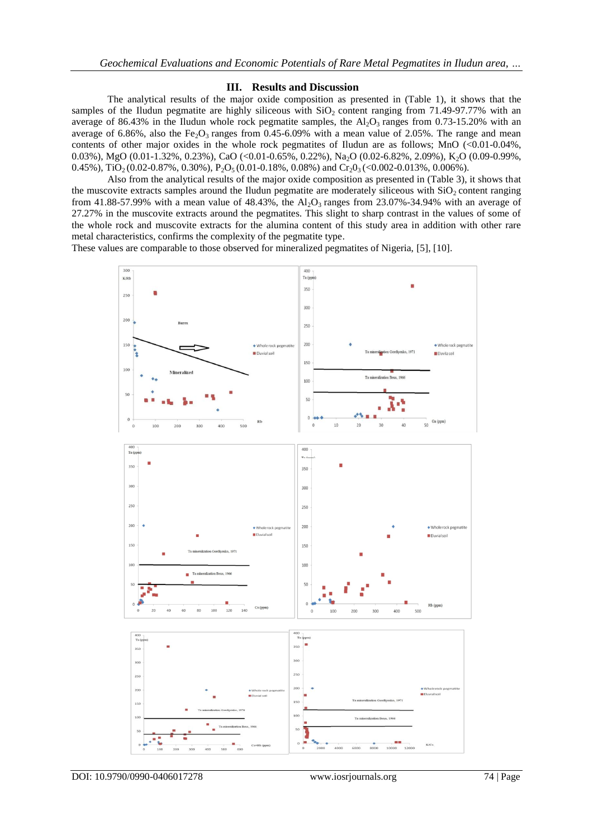## **III. Results and Discussion**

The analytical results of the major oxide composition as presented in (Table 1), it shows that the samples of the Iludun pegmatite are highly siliceous with  $SiO<sub>2</sub>$  content ranging from 71.49-97.77% with an average of 86.43% in the Iludun whole rock pegmatite samples, the  $Al_2O_3$  ranges from 0.73-15.20% with an average of 6.86%, also the Fe<sub>2</sub>O<sub>3</sub> ranges from 0.45-6.09% with a mean value of 2.05%. The range and mean contents of other major oxides in the whole rock pegmatites of Iludun are as follows; MnO (<0.01-0.04%, 0.03%), MgO (0.01-1.32%, 0.23%), CaO (<0.01-0.65%, 0.22%), Na2O (0.02-6.82%, 2.09%), K2O (0.09-0.99%, 0.45%), TiO<sub>2</sub> (0.02-0.87%, 0.30%), P<sub>2</sub>O<sub>5</sub> (0.01-0.18%, 0.08%) and Cr<sub>2</sub>O<sub>3</sub> (<0.002-0.013%, 0.006%).

Also from the analytical results of the major oxide composition as presented in (Table 3), it shows that the muscovite extracts samples around the Iludun pegmatite are moderately siliceous with  $SiO<sub>2</sub>$  content ranging from 41.88-57.99% with a mean value of 48.43%, the  $Al_2O_3$  ranges from 23.07%-34.94% with an average of 27.27% in the muscovite extracts around the pegmatites. This slight to sharp contrast in the values of some of the whole rock and muscovite extracts for the alumina content of this study area in addition with other rare metal characteristics, confirms the complexity of the pegmatite type.

These values are comparable to those observed for mineralized pegmatites of Nigeria, [5], [10].

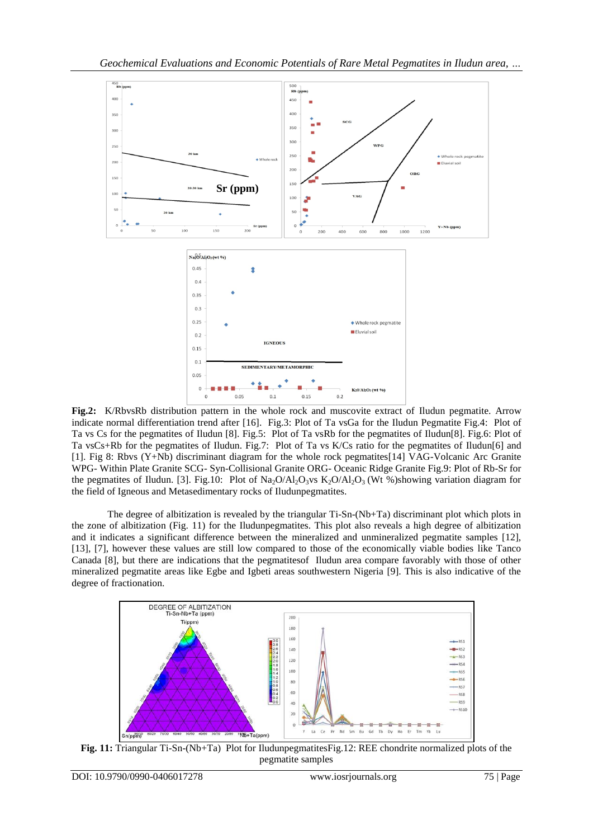

**Fig.2:** K/RbvsRb distribution pattern in the whole rock and muscovite extract of Iludun pegmatite. Arrow indicate normal differentiation trend after [16]. Fig.3: Plot of Ta vsGa for the Iludun Pegmatite Fig.4: Plot of Ta vs Cs for the pegmatites of Iludun [8]. Fig.5: Plot of Ta vsRb for the pegmatites of Iludun[8]. Fig.6: Plot of Ta vsCs+Rb for the pegmatites of Iludun. Fig.7: Plot of Ta vs K/Cs ratio for the pegmatites of Iludun[6] and [1]. Fig 8: Rbvs (Y+Nb) discriminant diagram for the whole rock pegmatites[14] VAG-Volcanic Arc Granite WPG- Within Plate Granite SCG- Syn-Collisional Granite ORG- Oceanic Ridge Granite Fig.9: Plot of Rb-Sr for the pegmatites of Iludun. [3]. Fig.10: Plot of Na<sub>2</sub>O/Al<sub>2</sub>O<sub>3</sub>vs K<sub>2</sub>O/Al<sub>2</sub>O<sub>3</sub> (Wt %)showing variation diagram for the field of Igneous and Metasedimentary rocks of Iludunpegmatites.

The degree of albitization is revealed by the triangular Ti-Sn-(Nb+Ta) discriminant plot which plots in the zone of albitization (Fig. 11) for the Iludunpegmatites. This plot also reveals a high degree of albitization and it indicates a significant difference between the mineralized and unmineralized pegmatite samples [12], [13], [7], however these values are still low compared to those of the economically viable bodies like Tanco Canada [8], but there are indications that the pegmatitesof Iludun area compare favorably with those of other mineralized pegmatite areas like Egbe and Igbeti areas southwestern Nigeria [9]. This is also indicative of the degree of fractionation.



**Fig. 11:** Triangular Ti-Sn-(Nb+Ta) Plot for IludunpegmatitesFig.12: REE chondrite normalized plots of the pegmatite samples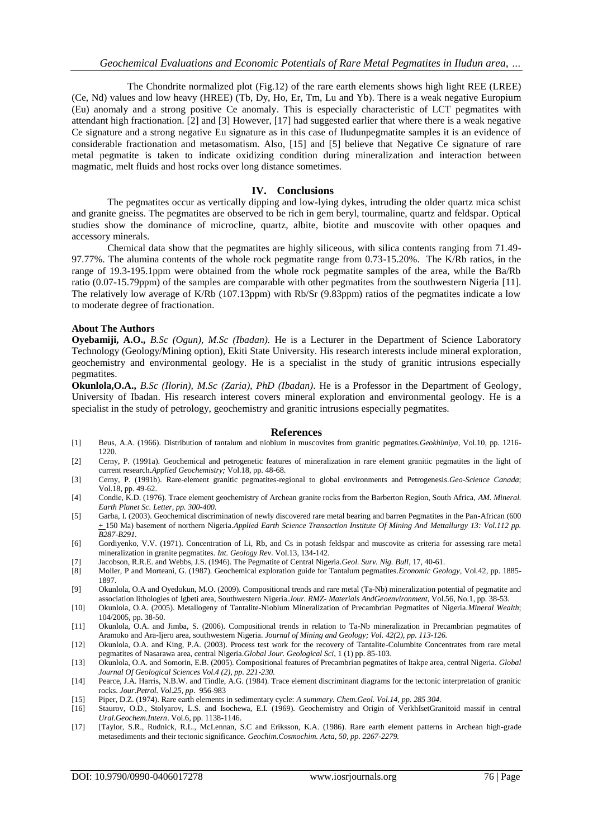The Chondrite normalized plot (Fig.12) of the rare earth elements shows high light REE (LREE) (Ce, Nd) values and low heavy (HREE) (Tb, Dy, Ho, Er, Tm, Lu and Yb). There is a weak negative Europium (Eu) anomaly and a strong positive Ce anomaly. This is especially characteristic of LCT pegmatites with attendant high fractionation. [2] and [3] However, [17] had suggested earlier that where there is a weak negative Ce signature and a strong negative Eu signature as in this case of Iludunpegmatite samples it is an evidence of considerable fractionation and metasomatism. Also, [15] and [5] believe that Negative Ce signature of rare metal pegmatite is taken to indicate oxidizing condition during mineralization and interaction between magmatic, melt fluids and host rocks over long distance sometimes.

## **IV. Conclusions**

The pegmatites occur as vertically dipping and low-lying dykes, intruding the older quartz mica schist and granite gneiss. The pegmatites are observed to be rich in gem beryl, tourmaline, quartz and feldspar. Optical studies show the dominance of microcline, quartz, albite, biotite and muscovite with other opaques and accessory minerals.

Chemical data show that the pegmatites are highly siliceous, with silica contents ranging from 71.49- 97.77%. The alumina contents of the whole rock pegmatite range from 0.73-15.20%. The K/Rb ratios, in the range of 19.3-195.1ppm were obtained from the whole rock pegmatite samples of the area, while the Ba/Rb ratio (0.07-15.79ppm) of the samples are comparable with other pegmatites from the southwestern Nigeria [11]. The relatively low average of K/Rb (107.13ppm) with Rb/Sr (9.83ppm) ratios of the pegmatites indicate a low to moderate degree of fractionation.

### **About The Authors**

**Oyebamiji, A.O.,** *B.Sc (Ogun), M.Sc (Ibadan).* He is a Lecturer in the Department of Science Laboratory Technology (Geology/Mining option), Ekiti State University. His research interests include mineral exploration, geochemistry and environmental geology. He is a specialist in the study of granitic intrusions especially pegmatites.

**Okunlola,O.A.,** *B.Sc (Ilorin), M.Sc (Zaria), PhD (Ibadan)*. He is a Professor in the Department of Geology, University of Ibadan. His research interest covers mineral exploration and environmental geology. He is a specialist in the study of petrology, geochemistry and granitic intrusions especially pegmatites.

#### **References**

- [1] Beus, A.A. (1966). Distribution of tantalum and niobium in muscovites from granitic pegmatites.*Geokhimiya*, Vol.10, pp. 1216- 1220.
- [2] Cerny, P. (1991a). Geochemical and petrogenetic features of mineralization in rare element granitic pegmatites in the light of current research.*Applied Geochemistry;* Vol.18, pp. 48-68.
- [3] Cerny, P. (1991b). Rare-element granitic pegmatites-regional to global environments and Petrogenesis.*Geo-Science Canada*; Vol.18, pp. 49-62.
- [4] Condie, K.D. (1976). Trace element geochemistry of Archean granite rocks from the Barberton Region, South Africa, *AM. Mineral. Earth Planet Sc. Letter, pp. 300-400.*
- [5] Garba, I. (2003). Geochemical discrimination of newly discovered rare metal bearing and barren Pegmatites in the Pan-African (600 + 150 Ma) basement of northern Nigeria.*Applied Earth Science Transaction Institute Of Mining And Mettallurgy 13: Vol.112 pp. B287-B291.*
- [6] Gordiyenko, V.V. (1971). Concentration of Li, Rb, and Cs in potash feldspar and muscovite as criteria for assessing rare metal mineralization in granite pegmatites*. Int. Geology Rev*. Vol.13, 134-142.
- [7] Jacobson, R.R.E. and Webbs, J.S. (1946). The Pegmatite of Central Nigeria.*Geol. Surv. Nig. Bull*, 17, 40-61.
- [8] Moller, P and Morteani, G. (1987). Geochemical exploration guide for Tantalum pegmatites.*Economic Geology*, Vol.42, pp. 1885- 1897.
- [9] Okunlola, O.A and Oyedokun, M.O. (2009). Compositional trends and rare metal (Ta-Nb) mineralization potential of pegmatite and association lithologies of Igbeti area, Southwestern Nigeria.*Jour. RMZ- Materials AndGeoenvironment,* Vol.56, No.1, pp. 38-53.
- [10] Okunlola, O.A. (2005). Metallogeny of Tantalite-Niobium Mineralization of Precambrian Pegmatites of Nigeria.*Mineral Wealth*; 104/2005, pp. 38-50.
- [11] Okunlola, O.A. and Jimba, S. (2006). Compositional trends in relation to Ta-Nb mineralization in Precambrian pegmatites of Aramoko and Ara-Ijero area, southwestern Nigeria. *Journal of Mining and Geology; Vol. 42(2), pp. 113-126.*
- [12] Okunlola, O.A. and King, P.A. (2003). Process test work for the recovery of Tantalite-Columbite Concentrates from rare metal pegmatites of Nasarawa area, central Nigeria.*Global Jour. Geological Sci*, 1 (1) pp. 85-103.
- [13] Okunlola, O.A. and Somorin, E.B. (2005). Compositional features of Precambrian pegmatites of Itakpe area, central Nigeria*. Global Journal Of Geological Sciences Vol.4 (2), pp. 221-230.*
- [14] Pearce, J.A. Harris, N.B.W. and Tindle, A.G. (1984). Trace element discriminant diagrams for the tectonic interpretation of granitic rocks. *Jour.Petrol. Vol.25, pp*. 956-983
- [15] Piper, D.Z. (1974). Rare earth elements in sedimentary cycle: *A summary. Chem.Geol. Vol.14, pp. 285 304.*
- [16] Staurov, O.D., Stolyarov, L.S. and Isochewa, E.I. (1969). Geochemistry and Origin of VerkhIsetGranitoid massif in central *Ural.Geochem.Intern*. Vol.6, pp. 1138-1146.
- [17] [Taylor, S.R., Rudnick, R.L., McLennan, S.C and Eriksson, K.A. (1986). Rare earth element patterns in Archean high-grade metasediments and their tectonic significance. *Geochim.Cosmochim. Acta, 50, pp. 2267-2279.*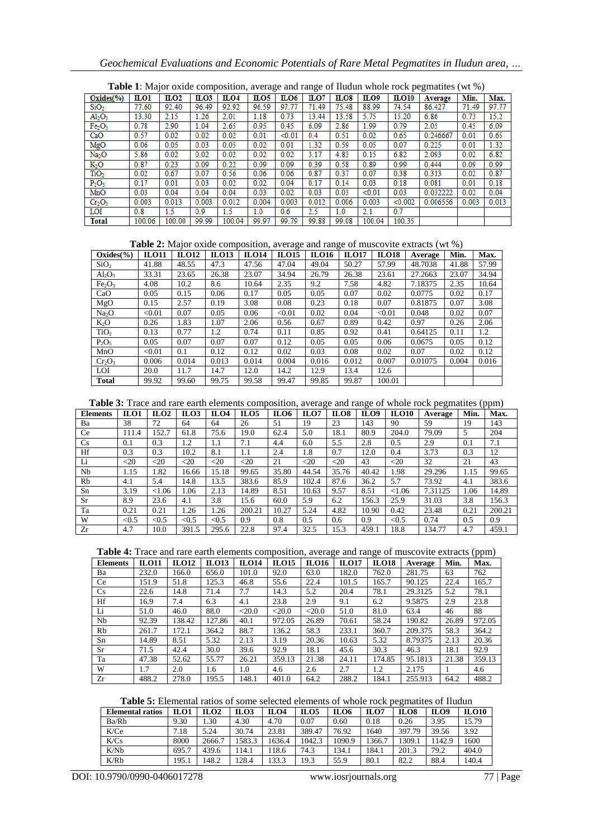# *Geochemical Evaluations and Economic Potentials of Rare Metal Pegmatites in Iludun area, …*

| <b>Table 1.</b> Major balue composition, average and range of huddin whole rock pegmatics (we 70) |            |                     |                  |                  |                  |             |       |                   |        |                  |          |       |       |
|---------------------------------------------------------------------------------------------------|------------|---------------------|------------------|------------------|------------------|-------------|-------|-------------------|--------|------------------|----------|-------|-------|
| Oxides(%)                                                                                         | <b>LO1</b> | $\Pi$ <sub>02</sub> | $_{\text{ILO}3}$ | $_{\text{ILO4}}$ | $_{\text{ILO}5}$ | <b>ILO6</b> | ILO7  | $_{\rm I\!L O 8}$ | LO9    | $_{\text{LO10}}$ | Average  | Min.  | Max.  |
| SiO <sub>2</sub>                                                                                  | 77.60      | 92.40               | 96.49            | 92.92            | 96.59            | 97.77       | 71.49 | 75.48             | 88.99  | 74.54            | 86.427   | 71.49 | 97.77 |
| Al <sub>2</sub> O <sub>3</sub>                                                                    | 13.30      | 2.15                | 1.26             | 2.01             | 1.18             | 0.73        | 13.44 | 13.58             | 5.75   | 15.20            | 6.86     | 0.73  | 15.2  |
| Fe <sub>2</sub> O <sub>3</sub>                                                                    | 0.78       | 2.90                | 1.04             | 2.65             | 0.95             | 0.45        | 6.09  | 2.86              | 1.99   | 0.79             | 2.05     | 0.45  | 6.09  |
| CaO                                                                                               | 0.57       | 0.02                | 0.02             | 0.02             | 0.01             | < 0.01      | 0.4   | 0.51              | 0.02   | 0.65             | 0.246667 | 0.01  | 0.65  |
| MgO                                                                                               | 0.06       | 0.05                | 0.03             | 0.05             | 0.02             | 0.01        | 1.32  | 0.59              | 0.05   | 0.07             | 0.225    | 0.01  | 1.32  |
| Na <sub>2</sub> O                                                                                 | 5.86       | 0.02                | 0.02             | 0.02             | 0.02             | 0.02        | 3.17  | 4.83              | 0.15   | 6.82             | 2.093    | 0.02  | 6.82  |
| $K_2O$                                                                                            | 0.87       | 0.23                | 0.09             | 0.22             | 0.09             | 0.09        | 0.39  | 0.58              | 0.89   | 0.99             | 0.444    | 0.09  | 0.99  |
| TiO <sub>2</sub>                                                                                  | 0.02       | 0.67                | 0.07             | 0.56             | 0.06             | 0.06        | 0.87  | 0.37              | 0.07   | 0.38             | 0.313    | 0.02  | 0.87  |
| $P_2O_5$                                                                                          | 0.17       | 0.01                | 0.03             | 0.02             | 0.02             | 0.04        | 0.17  | 0.14              | 0.03   | 0.18             | 0.081    | 0.01  | 0.18  |
| MnO                                                                                               | 0.03       | 0.04                | 0.04             | 0.04             | 0.03             | 0.02        | 0.03  | 0.03              | < 0.01 | 0.03             | 0.032222 | 0.02  | 0.04  |
| Cr <sub>2</sub> O <sub>3</sub>                                                                    | 0.003      | 0.013               | 0.003            | 0.012            | 0.004            | 0.003       | 0.012 | 0.006             | 0.003  | < 0.002          | 0.006556 | 0.003 | 0.013 |
| LOI                                                                                               | 0.8        | 1.5                 | 0.9              | 1.5              | 1.0              | 0.6         | 2.5   | 1.0               | 2.1    | 0.7              |          |       |       |
| <b>Total</b>                                                                                      | 100.06     | 100.00              | 99.99            | 100.04           | 99.97            | 99.79       | 99.88 | 99.08             | 100.04 | 100.35           |          |       |       |

**Table 1**: Major oxide composition, average and range of Iludun whole rock pegmatites (wt %)

**Table 2:** Major oxide composition, average and range of muscovite extracts (wt %)

| $Oxides(\%)$                   | <b>ILO11</b> | <b>ILO12</b> | ILO13 | <b>ILO14</b> | -- 7<br><b>ILO15</b> | 7<br><b>ILO16</b> | <b>ILO17</b> | <b>ILO18</b> | Average | Min.  | Max.  |
|--------------------------------|--------------|--------------|-------|--------------|----------------------|-------------------|--------------|--------------|---------|-------|-------|
| SiO <sub>2</sub>               | 41.88        | 48.55        | 47.3  | 47.56        | 47.04                | 49.04             | 50.27        | 57.99        | 48.7038 | 41.88 | 57.99 |
| $Al_2O_3$                      | 33.31        | 23.65        | 26.38 | 23.07        | 34.94                | 26.79             | 26.38        | 23.61        | 27.2663 | 23.07 | 34.94 |
| Fe <sub>2</sub> O <sub>3</sub> | 4.08         | 10.2         | 8.6   | 10.64        | 2.35                 | 9.2               | 7.58         | 4.82         | 7.18375 | 2.35  | 10.64 |
| CaO                            | 0.05         | 0.15         | 0.06  | 0.17         | 0.05                 | 0.05              | 0.07         | 0.02         | 0.0775  | 0.02  | 0.17  |
| MgO                            | 0.15         | 2.57         | 0.19  | 3.08         | 0.08                 | 0.23              | 0.18         | 0.07         | 0.81875 | 0.07  | 3.08  |
| Na <sub>2</sub> O              | < 0.01       | 0.07         | 0.05  | 0.06         | < 0.01               | 0.02              | 0.04         | < 0.01       | 0.048   | 0.02  | 0.07  |
| $K_2O$                         | 0.26         | 1.83         | 1.07  | 2.06         | 0.56                 | 0.67              | 0.89         | 0.42         | 0.97    | 0.26  | 2.06  |
| TiO <sub>2</sub>               | 0.13         | 0.77         | 1.2   | 0.74         | 0.11                 | 0.85              | 0.92         | 0.41         | 0.64125 | 0.11  | 1.2   |
| $P_2O_5$                       | 0.05         | 0.07         | 0.07  | 0.07         | 0.12                 | 0.05              | 0.05         | 0.06         | 0.0675  | 0.05  | 0.12  |
| MnO                            | < 0.01       | 0.1          | 0.12  | 0.12         | 0.02                 | 0.03              | 0.08         | 0.02         | 0.07    | 0.02  | 0.12  |
| $Cr_2O_3$                      | 0.006        | 0.014        | 0.013 | 0.014        | 0.004                | 0.016             | 0.012        | 0.007        | 0.01075 | 0.004 | 0.016 |
| LOI                            | 20.0         | 11.7         | 14.7  | 12.0         | 14.2                 | 12.9              | 13.4         | 12.6         |         |       |       |
| <b>Total</b>                   | 99.92        | 99.60        | 99.75 | 99.58        | 99.47                | 99.85             | 99.87        | 100.01       |         |       |       |

**Table 3:** Trace and rare earth elements composition, average and range of whole rock pegmatites (ppm)

| <b>Elements</b> | ILO1   | ILO <sub>2</sub> | ILO <sub>3</sub> | ILO4   | ILO <sub>5</sub> | ILO6  | ILO7   | ILO8   | ILO9  | <b>ILO10</b> | Average | Min. | Max.   |
|-----------------|--------|------------------|------------------|--------|------------------|-------|--------|--------|-------|--------------|---------|------|--------|
| Ba              | 38     | 72               | 64               | 64     | 26               | 51    | 19     | 23     | 143   | 90           | 59      | 19   | 143    |
| Ce              | 111.4  | 152.7            | 61.8             | 75.6   | 19.0             | 62.4  | 5.0    | 18.1   | 80.9  | 204.0        | 79.09   | 5    | 204    |
| Cs              | 0.1    | 0.3              | 1.2              | 1.1    | 7.1              | 4.4   | 6.0    | 5.5    | 2.8   | 0.5          | 2.9     | 0.1  | 7.1    |
| Hf              | 0.3    | 0.3              | 10.2             | 8.1    | $1.1\,$          | 2.4   | 1.8    | 0.7    | 12.0  | 0.4          | 3.73    | 0.3  | 12     |
| Li              | $<$ 20 | $<$ 20           | $<$ 20           | $<$ 20 | $<$ 20           | 21    | $<$ 20 | $<$ 20 | 43    | $<$ 20       | 32      | 21   | 43     |
| Nb              | 1.15   | l.82             | 16.66            | 15.18  | 99.65            | 35.80 | 44.54  | 35.76  | 40.42 | 1.98         | 29.296  | 1.15 | 99.65  |
| Rb              | 4.1    | 5.4              | 14.8             | 13.5   | 383.6            | 85.9  | 102.4  | 87.6   | 36.2  | 5.7          | 73.92   | 4.1  | 383.6  |
| Sn              | 3.19   | < 1.06           | 1.06             | 2.13   | 14.89            | 8.51  | 10.63  | 9.57   | 8.51  | < 1.06       | 7.31125 | .06  | 14.89  |
| <b>Sr</b>       | 8.9    | 23.6             | 4.1              | 3.8    | 15.6             | 60.0  | 5.9    | 6.2    | 156.3 | 25.9         | 31.03   | 3.8  | 156.3  |
| Ta              | 0.21   | 0.21             | 1.26             | 1.26   | 200.21           | 10.27 | 5.24   | 4.82   | 10.90 | 0.42         | 23.48   | 0.21 | 200.21 |
| W               | < 0.5  | < 0.5            | < 0.5            | < 0.5  | 0.9              | 0.8   | 0.5    | 0.6    | 0.9   | < 0.5        | 0.74    | 0.5  | 0.9    |
| Zr              | 4.7    | 10.0             | 391.5            | 295.6  | 22.8             | 97.4  | 32.5   | 15.3   | 459.1 | 18.8         | 134.77  | 4.7  | 459.1  |

|  |  | Table 4: Trace and rare earth elements composition, average and range of muscovite extracts (ppm) |
|--|--|---------------------------------------------------------------------------------------------------|
|  |  |                                                                                                   |

| <b>Elements</b> | <b>ILO11</b> | <b>ILO12</b> | <b>ILO13</b> | <b>ILO14</b> | <b>ILO15</b> | <b>ILO16</b> | <b>ILO17</b> | <b>ILO18</b> | Average | Min.  | Max.   |
|-----------------|--------------|--------------|--------------|--------------|--------------|--------------|--------------|--------------|---------|-------|--------|
| Ba              | 232.0        | 166.0        | 656.0        | 101.0        | 92.0         | 63.0         | 182.0        | 762.0        | 281.75  | 63    | 762    |
| Ce              | 151.9        | 51.8         | 125.3        | 46.8         | 55.6         | 22.4         | 101.5        | 165.7        | 90.125  | 22.4  | 165.7  |
| Cs              | 22.6         | 14.8         | 71.4         | 7.7          | 14.3         | 5.2          | 20.4         | 78.1         | 29.3125 | 5.2   | 78.1   |
| Hf              | 16.9         | 7.4          | 6.3          | 4.1          | 23.8         | 2.9          | 9.1          | 6.2          | 9.5875  | 2.9   | 23.8   |
| Li              | 51.0         | 46.0         | 88.0         | $<$ 20.0     | $<$ 20.0     | $<$ 20.0     | 51.0         | 81.0         | 63.4    | 46    | 88     |
| Nb              | 92.39        | 138.42       | 127.86       | 40.1         | 972.05       | 26.89        | 70.61        | 58.24        | 190.82  | 26.89 | 972.05 |
| Rb              | 261.7        | 172.1        | 364.2        | 88.7         | 136.2        | 58.3         | 233.1        | 360.7        | 209.375 | 58.3  | 364.2  |
| Sn              | 14.89        | 8.51         | 5.32         | 2.13         | 3.19         | 20.36        | 10.63        | 5.32         | 8.79375 | 2.13  | 20.36  |
| <b>Sr</b>       | 71.5         | 42.4         | 30.0         | 39.6         | 92.9         | 18.1         | 45.6         | 30.3         | 46.3    | 18.1  | 92.9   |
| Ta              | 47.38        | 52.62        | 55.77        | 26.21        | 359.13       | 21.38        | 24.11        | 174.85       | 95.1813 | 21.38 | 359.13 |
| W               | 1.7          | 2.0          | 1.6          | 1.0          | 4.6          | 2.6          | 2.7          | 1.2          | 2.175   |       | 4.6    |
| Zr              | 488.2        | 278.0        | 195.5        | 148.1        | 401.0        | 64.2         | 288.2        | 184.1        | 255.913 | 64.2  | 488.2  |

| Table 5: Elemental ratios of some selected elements of whole rock pegmatites of Iludun |  |
|----------------------------------------------------------------------------------------|--|
|----------------------------------------------------------------------------------------|--|

| <b>Elemental ratios</b> | ILO1  | ILO2   | ILO3  | ILO4   | ILO <sub>5</sub> | <b>ILO6</b> | ILO7   | ILO8   | ILO9  | <b>ILO10</b> |
|-------------------------|-------|--------|-------|--------|------------------|-------------|--------|--------|-------|--------------|
| Ba/Rb                   | 9.30  | . . 30 | 4.30  | 4.70   | 0.07             | 0.60        | 0.18   | 0.26   | 3.95  | 15.79        |
| K/Ce                    | 7.18  | 5.24   | 30.74 | 23.81  | 389.47           | 76.92       | 1640   | 397.79 | 39.56 | 3.92         |
| K/Cs                    | 8000  | 2666.7 | 583.3 | 1636.4 | 1042.3           | 1090.9      | 1366.7 | 309.1  | 142.9 | 1600         |
| K/Nb                    | 695.7 | 439.6  | 14.1  | 18.6   | 74.3             | 134.1       | 184.1  | 201.3  | 79.2  | 404.0        |
| K/Rb                    | 195.1 | 148.2  | 128.4 | 133.3  | 19.3             | 55.9        | 80.1   | 82.2   | 88.4  | 140.4        |